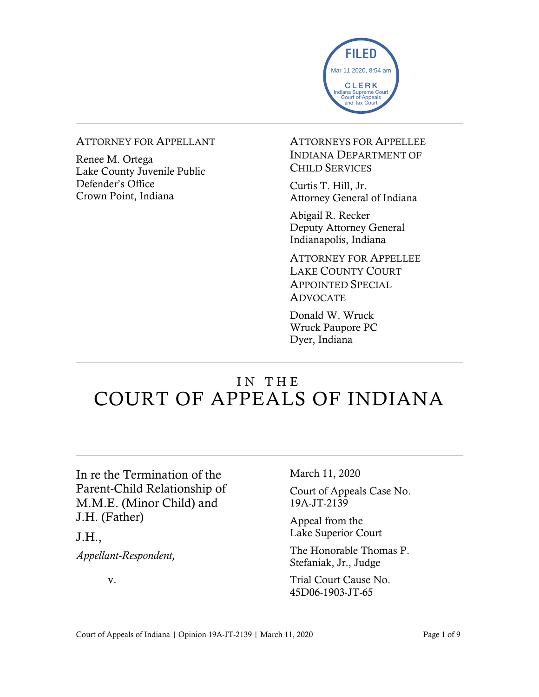

#### ATTORNEY FOR APPELLANT

Renee M. Ortega Lake County Juvenile Public Defender's Office Crown Point, Indiana

ATTORNEYS FOR APPELLEE INDIANA DEPARTMENT OF CHILD SERVICES

Curtis T. Hill, Jr. Attorney General of Indiana

Abigail R. Recker Deputy Attorney General Indianapolis, Indiana

ATTORNEY FOR APPELLEE LAKE COUNTY COURT APPOINTED SPECIAL ADVOCATE

Donald W. Wruck Wruck Paupore PC Dyer, Indiana

## IN THE COURT OF APPEALS OF INDIANA

In re the Termination of the Parent-Child Relationship of M.M.E. (Minor Child) and J.H. (Father)

J.H.,

*Appellant-Respondent,*

v.

March 11, 2020

Court of Appeals Case No. 19A-JT-2139

Appeal from the Lake Superior Court

The Honorable Thomas P. Stefaniak, Jr., Judge

Trial Court Cause No. 45D06-1903-JT-65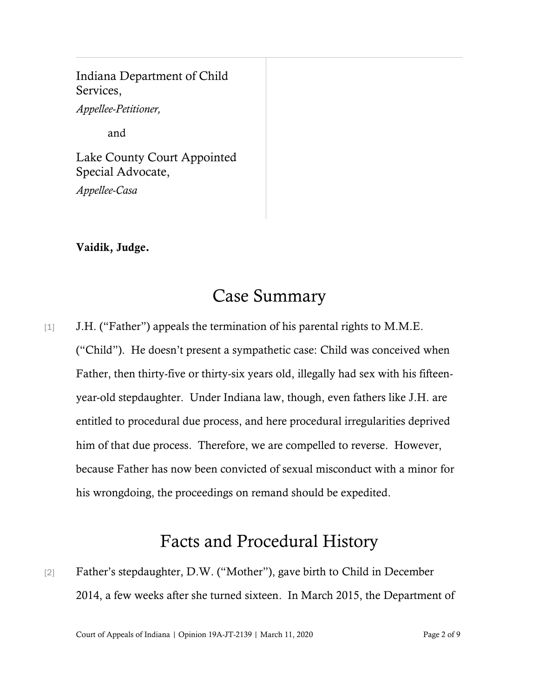### Indiana Department of Child Services,

*Appellee-Petitioner,*

and

Lake County Court Appointed Special Advocate, *Appellee-Casa*

#### Vaidik, Judge.

### Case Summary

[1] J.H. ("Father") appeals the termination of his parental rights to M.M.E. ("Child"). He doesn't present a sympathetic case: Child was conceived when Father, then thirty-five or thirty-six years old, illegally had sex with his fifteenyear-old stepdaughter. Under Indiana law, though, even fathers like J.H. are entitled to procedural due process, and here procedural irregularities deprived him of that due process. Therefore, we are compelled to reverse. However, because Father has now been convicted of sexual misconduct with a minor for his wrongdoing, the proceedings on remand should be expedited.

# Facts and Procedural History

[2] Father's stepdaughter, D.W. ("Mother"), gave birth to Child in December 2014, a few weeks after she turned sixteen. In March 2015, the Department of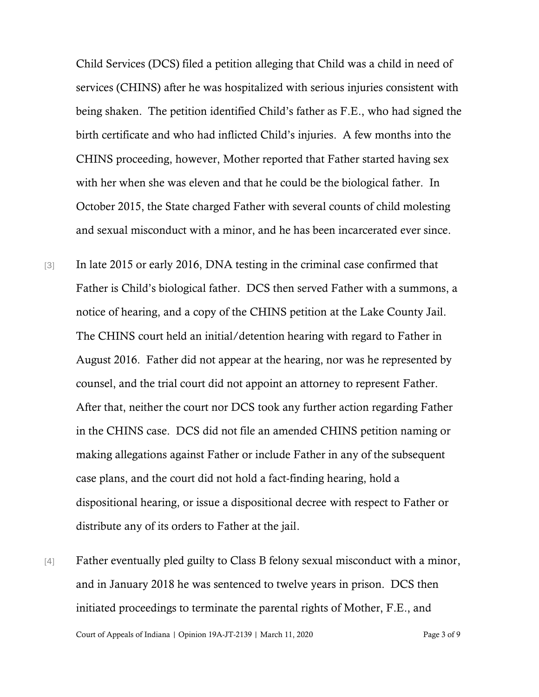Child Services (DCS) filed a petition alleging that Child was a child in need of services (CHINS) after he was hospitalized with serious injuries consistent with being shaken. The petition identified Child's father as F.E., who had signed the birth certificate and who had inflicted Child's injuries. A few months into the CHINS proceeding, however, Mother reported that Father started having sex with her when she was eleven and that he could be the biological father. In October 2015, the State charged Father with several counts of child molesting and sexual misconduct with a minor, and he has been incarcerated ever since.

- [3] In late 2015 or early 2016, DNA testing in the criminal case confirmed that Father is Child's biological father. DCS then served Father with a summons, a notice of hearing, and a copy of the CHINS petition at the Lake County Jail. The CHINS court held an initial/detention hearing with regard to Father in August 2016. Father did not appear at the hearing, nor was he represented by counsel, and the trial court did not appoint an attorney to represent Father. After that, neither the court nor DCS took any further action regarding Father in the CHINS case. DCS did not file an amended CHINS petition naming or making allegations against Father or include Father in any of the subsequent case plans, and the court did not hold a fact-finding hearing, hold a dispositional hearing, or issue a dispositional decree with respect to Father or distribute any of its orders to Father at the jail.
- [4] Father eventually pled guilty to Class B felony sexual misconduct with a minor, and in January 2018 he was sentenced to twelve years in prison. DCS then initiated proceedings to terminate the parental rights of Mother, F.E., and

Court of Appeals of Indiana | Opinion 19A-JT-2139 | March 11, 2020 Page 3 of 9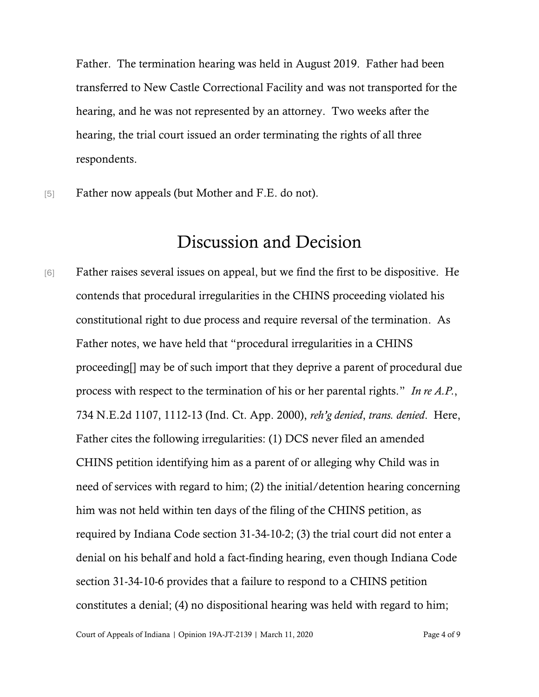Father. The termination hearing was held in August 2019. Father had been transferred to New Castle Correctional Facility and was not transported for the hearing, and he was not represented by an attorney. Two weeks after the hearing, the trial court issued an order terminating the rights of all three respondents.

[5] Father now appeals (but Mother and F.E. do not).

### Discussion and Decision

[6] Father raises several issues on appeal, but we find the first to be dispositive. He contends that procedural irregularities in the CHINS proceeding violated his constitutional right to due process and require reversal of the termination. As Father notes, we have held that "procedural irregularities in a CHINS proceeding[] may be of such import that they deprive a parent of procedural due process with respect to the termination of his or her parental rights." *In re A.P.*, 734 N.E.2d 1107, 1112-13 (Ind. Ct. App. 2000), *reh'g denied*, *trans. denied*. Here, Father cites the following irregularities: (1) DCS never filed an amended CHINS petition identifying him as a parent of or alleging why Child was in need of services with regard to him; (2) the initial/detention hearing concerning him was not held within ten days of the filing of the CHINS petition, as required by Indiana Code section 31-34-10-2; (3) the trial court did not enter a denial on his behalf and hold a fact-finding hearing, even though Indiana Code section 31-34-10-6 provides that a failure to respond to a CHINS petition constitutes a denial; (4) no dispositional hearing was held with regard to him;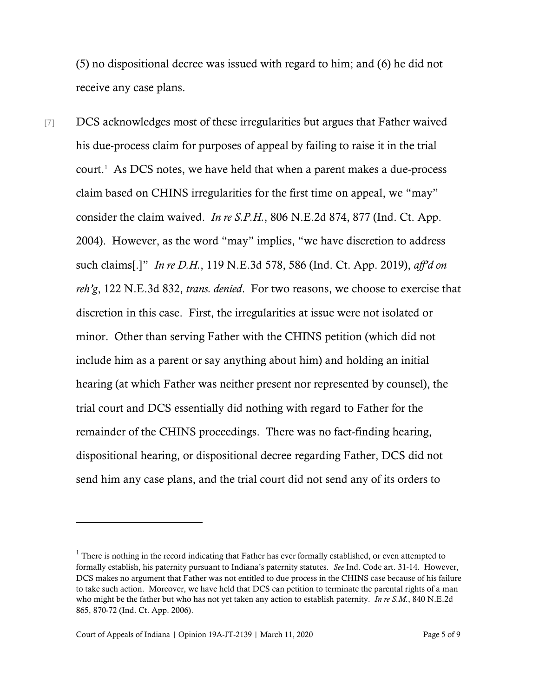(5) no dispositional decree was issued with regard to him; and (6) he did not receive any case plans.

[7] DCS acknowledges most of these irregularities but argues that Father waived his due-process claim for purposes of appeal by failing to raise it in the trial  $court<sup>1</sup>$  As DCS notes, we have held that when a parent makes a due-process claim based on CHINS irregularities for the first time on appeal, we "may" consider the claim waived. *In re S.P.H.*, 806 N.E.2d 874, 877 (Ind. Ct. App. 2004). However, as the word "may" implies, "we have discretion to address such claims[.]" *In re D.H.*, 119 N.E.3d 578, 586 (Ind. Ct. App. 2019), *aff'd on reh'g*, 122 N.E.3d 832, *trans. denied*. For two reasons, we choose to exercise that discretion in this case. First, the irregularities at issue were not isolated or minor. Other than serving Father with the CHINS petition (which did not include him as a parent or say anything about him) and holding an initial hearing (at which Father was neither present nor represented by counsel), the trial court and DCS essentially did nothing with regard to Father for the remainder of the CHINS proceedings. There was no fact-finding hearing, dispositional hearing, or dispositional decree regarding Father, DCS did not send him any case plans, and the trial court did not send any of its orders to

 $<sup>1</sup>$  There is nothing in the record indicating that Father has ever formally established, or even attempted to</sup> formally establish, his paternity pursuant to Indiana's paternity statutes. *See* Ind. Code art. 31-14. However, DCS makes no argument that Father was not entitled to due process in the CHINS case because of his failure to take such action. Moreover, we have held that DCS can petition to terminate the parental rights of a man who might be the father but who has not yet taken any action to establish paternity. *In re S.M.*, 840 N.E.2d 865, 870-72 (Ind. Ct. App. 2006).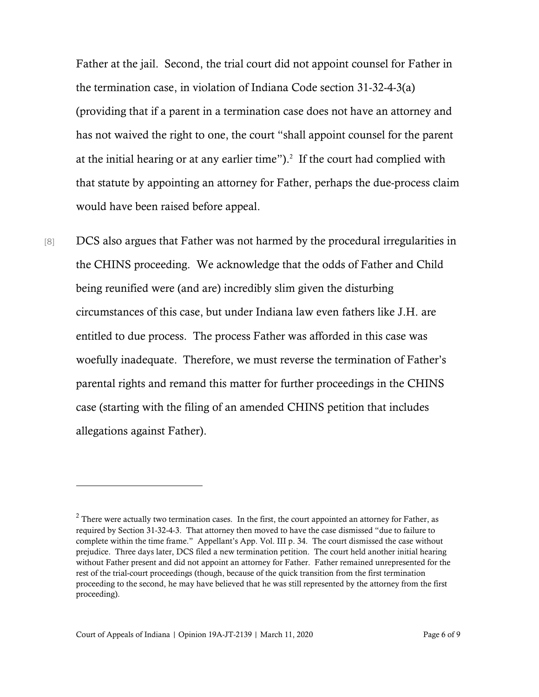Father at the jail. Second, the trial court did not appoint counsel for Father in the termination case, in violation of Indiana Code section 31-32-4-3(a) (providing that if a parent in a termination case does not have an attorney and has not waived the right to one, the court "shall appoint counsel for the parent at the initial hearing or at any earlier time"). 2 If the court had complied with that statute by appointing an attorney for Father, perhaps the due-process claim would have been raised before appeal.

[8] DCS also argues that Father was not harmed by the procedural irregularities in the CHINS proceeding. We acknowledge that the odds of Father and Child being reunified were (and are) incredibly slim given the disturbing circumstances of this case, but under Indiana law even fathers like J.H. are entitled to due process. The process Father was afforded in this case was woefully inadequate. Therefore, we must reverse the termination of Father's parental rights and remand this matter for further proceedings in the CHINS case (starting with the filing of an amended CHINS petition that includes allegations against Father).

 $2$  There were actually two termination cases. In the first, the court appointed an attorney for Father, as required by Section 31-32-4-3. That attorney then moved to have the case dismissed "due to failure to complete within the time frame." Appellant's App. Vol. III p. 34. The court dismissed the case without prejudice. Three days later, DCS filed a new termination petition. The court held another initial hearing without Father present and did not appoint an attorney for Father. Father remained unrepresented for the rest of the trial-court proceedings (though, because of the quick transition from the first termination proceeding to the second, he may have believed that he was still represented by the attorney from the first proceeding).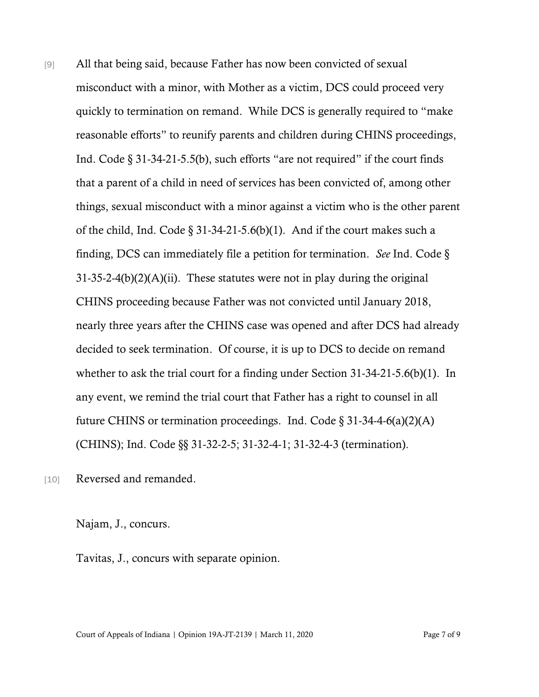[9] All that being said, because Father has now been convicted of sexual misconduct with a minor, with Mother as a victim, DCS could proceed very quickly to termination on remand. While DCS is generally required to "make reasonable efforts" to reunify parents and children during CHINS proceedings, Ind. Code § 31-34-21-5.5(b), such efforts "are not required" if the court finds that a parent of a child in need of services has been convicted of, among other things, sexual misconduct with a minor against a victim who is the other parent of the child, Ind. Code  $\S 31-34-21-5.6(b)(1)$ . And if the court makes such a finding, DCS can immediately file a petition for termination. *See* Ind. Code §  $31-35-2-4(b)(2)(A)(ii)$ . These statutes were not in play during the original CHINS proceeding because Father was not convicted until January 2018, nearly three years after the CHINS case was opened and after DCS had already decided to seek termination. Of course, it is up to DCS to decide on remand whether to ask the trial court for a finding under Section 31-34-21-5.6(b)(1). In any event, we remind the trial court that Father has a right to counsel in all future CHINS or termination proceedings. Ind. Code  $\S 31-34-4-6(a)(2)(A)$ (CHINS); Ind. Code §§ 31-32-2-5; 31-32-4-1; 31-32-4-3 (termination).

[10] Reversed and remanded.

Najam, J., concurs.

Tavitas, J., concurs with separate opinion.

Court of Appeals of Indiana | Opinion 19A-JT-2139 | March 11, 2020 Page 7 of 9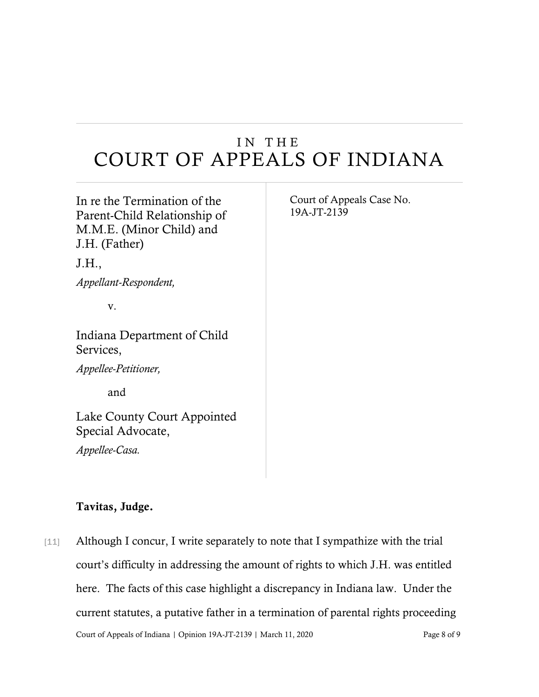# I N T H E COURT OF APPEALS OF INDIANA

| In re the Termination of the<br>Parent-Child Relationship of<br>M.M.E. (Minor Child) and<br>J.H. (Father)<br>J.H., | Court of Appeals Case No.<br>19A-JT-2139 |
|--------------------------------------------------------------------------------------------------------------------|------------------------------------------|
| Appellant-Respondent,                                                                                              |                                          |
| V.                                                                                                                 |                                          |
| Indiana Department of Child<br>Services,                                                                           |                                          |
| <i>Appellee-Petitioner,</i>                                                                                        |                                          |
| and                                                                                                                |                                          |
| Lake County Court Appointed<br>Special Advocate,                                                                   |                                          |
| Appellee-Casa.                                                                                                     |                                          |

### Tavitas, Judge.

Court of Appeals of Indiana | Opinion 19A-JT-2139 | March 11, 2020 Page 8 of 9 [11] Although I concur, I write separately to note that I sympathize with the trial court's difficulty in addressing the amount of rights to which J.H. was entitled here. The facts of this case highlight a discrepancy in Indiana law. Under the current statutes, a putative father in a termination of parental rights proceeding